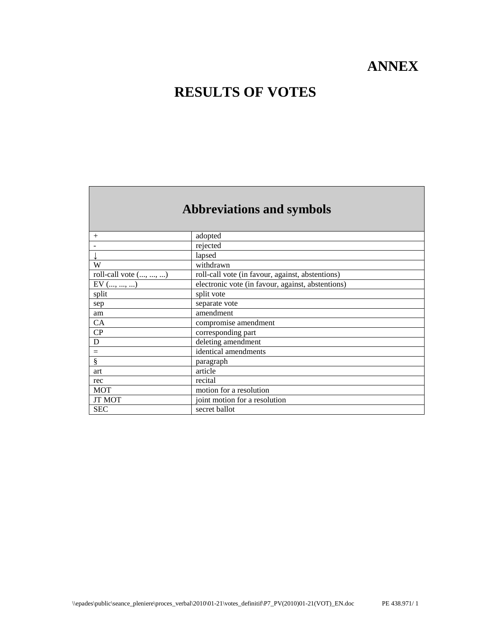## **ANNEX**

### **RESULTS OF VOTES**

# **Abbreviations and symbols**

| $^{+}$                | adopted                                           |
|-----------------------|---------------------------------------------------|
|                       | rejected                                          |
|                       | lapsed                                            |
| W                     | withdrawn                                         |
| roll-call vote (, , ) | roll-call vote (in favour, against, abstentions)  |
| $EV$ (, , )           | electronic vote (in favour, against, abstentions) |
| split                 | split vote                                        |
| sep                   | separate vote                                     |
| am                    | amendment                                         |
| CA                    | compromise amendment                              |
| CP                    | corresponding part                                |
| D                     | deleting amendment                                |
| $=$                   | identical amendments                              |
| ş                     | paragraph                                         |
| art                   | article                                           |
| rec                   | recital                                           |
| <b>MOT</b>            | motion for a resolution                           |
| <b>JT MOT</b>         | joint motion for a resolution                     |
| <b>SEC</b>            | secret ballot                                     |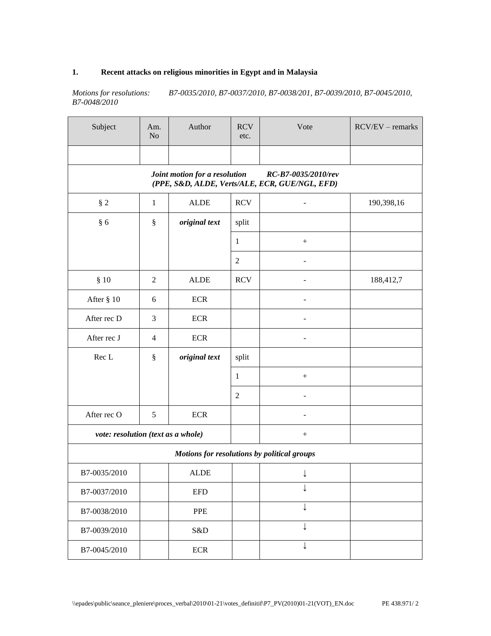### **1. Recent attacks on religious minorities in Egypt and in Malaysia**

*Motions for resolutions: B7-0035/2010, B7-0037/2010, B7-0038/201, B7-0039/2010, B7-0045/2010, B7-0048/2010*

| Subject                                     | Am.<br>N <sub>o</sub>                                                                                  | Author                    | <b>RCV</b><br>etc. | Vote             | $RCV/EV - remarks$ |  |  |  |
|---------------------------------------------|--------------------------------------------------------------------------------------------------------|---------------------------|--------------------|------------------|--------------------|--|--|--|
|                                             |                                                                                                        |                           |                    |                  |                    |  |  |  |
|                                             | Joint motion for a resolution<br>RC-B7-0035/2010/rev<br>(PPE, S&D, ALDE, Verts/ALE, ECR, GUE/NGL, EFD) |                           |                    |                  |                    |  |  |  |
| $§$ 2                                       | 1                                                                                                      | <b>ALDE</b>               | <b>RCV</b>         |                  | 190,398,16         |  |  |  |
| § 6                                         | $\S$                                                                                                   | original text             | split              |                  |                    |  |  |  |
|                                             |                                                                                                        |                           | $\mathbf{1}$       | $\boldsymbol{+}$ |                    |  |  |  |
|                                             |                                                                                                        |                           | $\sqrt{2}$         |                  |                    |  |  |  |
| § 10                                        | $\mathfrak{2}$                                                                                         | ALDE                      | <b>RCV</b>         |                  | 188,412,7          |  |  |  |
| After § 10                                  | 6                                                                                                      | <b>ECR</b>                |                    |                  |                    |  |  |  |
| After rec D                                 | 3                                                                                                      | <b>ECR</b>                |                    |                  |                    |  |  |  |
| After rec J                                 | $\overline{4}$                                                                                         | $\ensuremath{\text{ECR}}$ |                    |                  |                    |  |  |  |
| Rec L                                       | §                                                                                                      | original text             | split              |                  |                    |  |  |  |
|                                             |                                                                                                        |                           | 1                  | $\boldsymbol{+}$ |                    |  |  |  |
|                                             |                                                                                                        |                           | $\sqrt{2}$         |                  |                    |  |  |  |
| After rec O                                 | 5                                                                                                      | <b>ECR</b>                |                    |                  |                    |  |  |  |
| vote: resolution (text as a whole)          |                                                                                                        |                           |                    | $\boldsymbol{+}$ |                    |  |  |  |
| Motions for resolutions by political groups |                                                                                                        |                           |                    |                  |                    |  |  |  |
| B7-0035/2010                                |                                                                                                        | <b>ALDE</b>               |                    | ↓                |                    |  |  |  |
| B7-0037/2010                                |                                                                                                        | <b>EFD</b>                |                    |                  |                    |  |  |  |
| B7-0038/2010                                |                                                                                                        | PPE                       |                    | ↓                |                    |  |  |  |
| B7-0039/2010                                |                                                                                                        | S&D                       |                    |                  |                    |  |  |  |
| B7-0045/2010                                |                                                                                                        | <b>ECR</b>                |                    |                  |                    |  |  |  |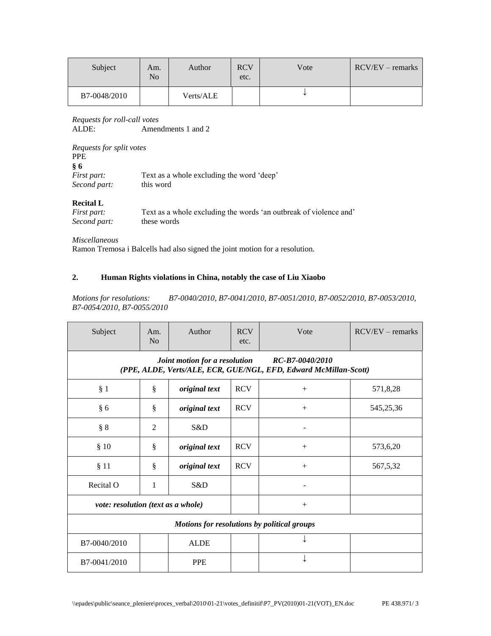| Subject      | Am.<br>No | Author    | <b>RCV</b><br>etc. | Vote | $RCV/EV - remarks$ |
|--------------|-----------|-----------|--------------------|------|--------------------|
| B7-0048/2010 |           | Verts/ALE |                    |      |                    |

*Requests for roll-call votes* Amendments 1 and 2

| Requests for split votes<br>PPE.                     |                                                        |
|------------------------------------------------------|--------------------------------------------------------|
| <b>&amp; 6</b><br><i>First part:</i><br>Second part: | Text as a whole excluding the word 'deep'<br>this word |

#### **Recital L**

| <i>First part:</i> | Text as a whole excluding the words 'an outbreak of violence and' |
|--------------------|-------------------------------------------------------------------|
| Second part:       | these words                                                       |

*Miscellaneous*

Ramon Tremosa i Balcells had also signed the joint motion for a resolution.

#### **2. Human Rights violations in China, notably the case of Liu Xiaobo**

*Motions for resolutions: B7-0040/2010, B7-0041/2010, B7-0051/2010, B7-0052/2010, B7-0053/2010, B7-0054/2010, B7-0055/2010*

| Subject                                                                                                              | Am.<br>N <sub>o</sub> | Author        | <b>RCV</b><br>etc. | Vote   | $RCV/EV - remarks$ |
|----------------------------------------------------------------------------------------------------------------------|-----------------------|---------------|--------------------|--------|--------------------|
| Joint motion for a resolution<br>RC-B7-0040/2010<br>(PPE, ALDE, Verts/ALE, ECR, GUE/NGL, EFD, Edward McMillan-Scott) |                       |               |                    |        |                    |
| § 1                                                                                                                  | ş                     | original text | <b>RCV</b>         | $+$    | 571,8,28           |
| § 6                                                                                                                  | $\S$                  | original text | <b>RCV</b>         | $+$    | 545,25,36          |
| § 8                                                                                                                  | 2                     | S&D           |                    |        |                    |
| \$10                                                                                                                 | ş                     | original text | <b>RCV</b>         | $^{+}$ | 573,6,20           |
| § 11                                                                                                                 | ş                     | original text | <b>RCV</b>         | $+$    | 567,5,32           |
| Recital O                                                                                                            | 1                     | S&D           |                    |        |                    |
| vote: resolution (text as a whole)                                                                                   |                       |               |                    | $^{+}$ |                    |
| Motions for resolutions by political groups                                                                          |                       |               |                    |        |                    |
| B7-0040/2010                                                                                                         |                       | <b>ALDE</b>   |                    |        |                    |
| B7-0041/2010                                                                                                         |                       | <b>PPE</b>    |                    |        |                    |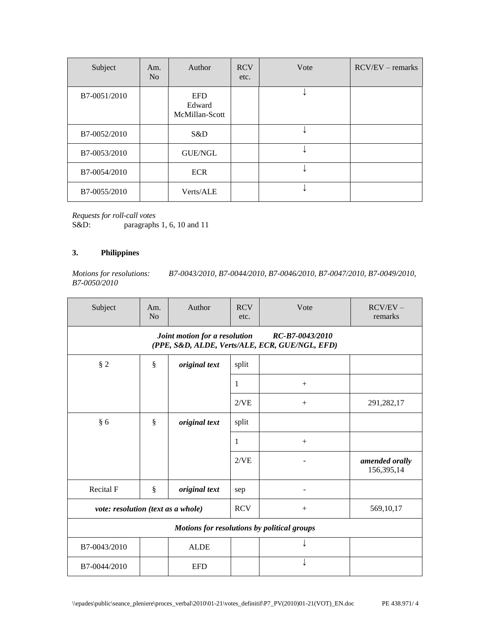| Subject      | Am.<br>N <sub>o</sub> | Author                                 | <b>RCV</b><br>etc. | Vote | $RCV/EV - remarks$ |
|--------------|-----------------------|----------------------------------------|--------------------|------|--------------------|
| B7-0051/2010 |                       | <b>EFD</b><br>Edward<br>McMillan-Scott |                    |      |                    |
| B7-0052/2010 |                       | S&D                                    |                    |      |                    |
| B7-0053/2010 |                       | <b>GUE/NGL</b>                         |                    |      |                    |
| B7-0054/2010 |                       | <b>ECR</b>                             |                    |      |                    |
| B7-0055/2010 |                       | Verts/ALE                              |                    |      |                    |

*Requests for roll-call votes*

paragraphs 1, 6, 10 and 11

#### **3. Philippines**

*Motions for resolutions: B7-0043/2010, B7-0044/2010, B7-0046/2010, B7-0047/2010, B7-0049/2010, B7-0050/2010*

| Subject                                     | Am.<br>No                                                                                          | Author        | <b>RCV</b><br>etc. | Vote   | $RCV/EV -$<br>remarks        |  |  |  |
|---------------------------------------------|----------------------------------------------------------------------------------------------------|---------------|--------------------|--------|------------------------------|--|--|--|
|                                             | Joint motion for a resolution<br>RC-B7-0043/2010<br>(PPE, S&D, ALDE, Verts/ALE, ECR, GUE/NGL, EFD) |               |                    |        |                              |  |  |  |
| § 2                                         | $\S$                                                                                               | original text | split              |        |                              |  |  |  |
|                                             |                                                                                                    |               | 1                  | $^{+}$ |                              |  |  |  |
|                                             |                                                                                                    |               | 2/VE               |        | 291,282,17                   |  |  |  |
| § 6                                         | ş                                                                                                  | original text | split              |        |                              |  |  |  |
|                                             |                                                                                                    |               | 1                  | $+$    |                              |  |  |  |
|                                             |                                                                                                    |               | 2/VE               |        | amended orally<br>156,395,14 |  |  |  |
| Recital F                                   | §                                                                                                  | original text | sep                |        |                              |  |  |  |
| vote: resolution (text as a whole)          |                                                                                                    |               | <b>RCV</b>         |        | 569,10,17                    |  |  |  |
| Motions for resolutions by political groups |                                                                                                    |               |                    |        |                              |  |  |  |
| B7-0043/2010                                |                                                                                                    | <b>ALDE</b>   |                    |        |                              |  |  |  |
| B7-0044/2010                                |                                                                                                    | <b>EFD</b>    |                    |        |                              |  |  |  |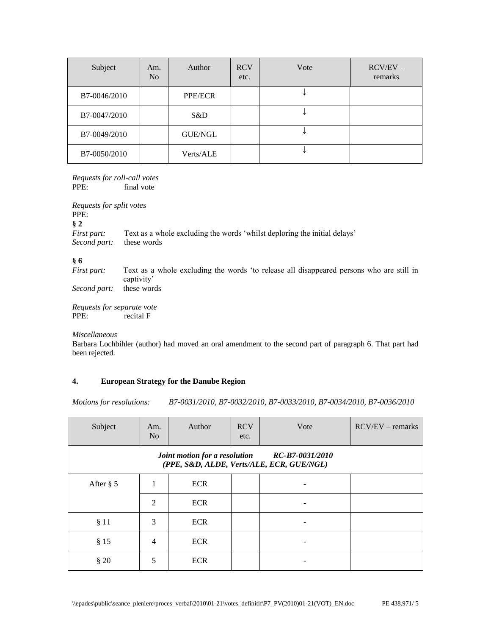| Subject      | Am.<br>N <sub>0</sub> | Author         | <b>RCV</b><br>etc. | Vote | $RCV/EV -$<br>remarks |
|--------------|-----------------------|----------------|--------------------|------|-----------------------|
| B7-0046/2010 |                       | <b>PPE/ECR</b> |                    |      |                       |
| B7-0047/2010 |                       | S&D            |                    |      |                       |
| B7-0049/2010 |                       | GUE/NGL        |                    |      |                       |
| B7-0050/2010 |                       | Verts/ALE      |                    |      |                       |

*Requests for roll-call votes* PPE: final vote

*Requests for split votes* PPE: **§ 2** *First part:* Text as a whole excluding the words 'whilst deploring the initial delays' *Second part:* these words **§ 6**

Text as a whole excluding the words 'to release all disappeared persons who are still in captivity' *Second part:* these words

*Requests for separate vote* PPE: recital F

*Miscellaneous*

Barbara Lochbihler (author) had moved an oral amendment to the second part of paragraph 6. That part had been rejected.

#### **4. European Strategy for the Danube Region**

*Motions for resolutions: B7-0031/2010, B7-0032/2010, B7-0033/2010, B7-0034/2010, B7-0036/2010*

| Subject                                                                                    | Am.<br>N <sub>o</sub> | Author     | <b>RCV</b><br>etc. | Vote | $RCV/EV - remarks$ |  |
|--------------------------------------------------------------------------------------------|-----------------------|------------|--------------------|------|--------------------|--|
| Joint motion for a resolution RC-B7-0031/2010<br>(PPE, S&D, ALDE, Verts/ALE, ECR, GUE/NGL) |                       |            |                    |      |                    |  |
| After $\S$ 5                                                                               |                       | <b>ECR</b> |                    |      |                    |  |
|                                                                                            | $\overline{2}$        | <b>ECR</b> |                    |      |                    |  |
| § 11                                                                                       | 3                     | <b>ECR</b> |                    |      |                    |  |
| § 15                                                                                       | $\overline{4}$        | <b>ECR</b> |                    |      |                    |  |
| § 20                                                                                       | 5                     | <b>ECR</b> |                    |      |                    |  |